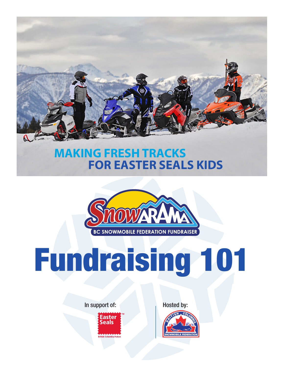

### **MAKING FRESH TRACKS FOR EASTER SEALS KIDS**



# Fundraising 101

In support of: Hosted by:

**TM** British Columbia/Yukon Easter Seals

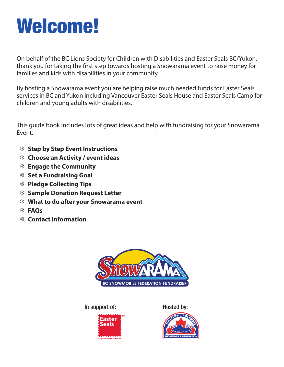### Welcome!

On behalf of the BC Lions Society for Children with Disabilities and Easter Seals BC/Yukon, thank you for taking the first step towards hosting a Snowarama event to raise money for families and kids with disabilities in your community.

By hosting a Snowarama event you are helping raise much needed funds for Easter Seals services in BC and Yukon including Vancouver Easter Seals House and Easter Seals Camp for children and young adults with disabilities.

This guide book includes lots of great ideas and help with fundraising for your Snowarama Event.

- 7 **Step by Step Event Instructions**
- 7 **Choose an Activity / event ideas**
- 7 **Engage the Community**
- 7 **Set a Fundraising Goal**
- 7 **Pledge Collecting Tips**
- 7 **Sample Donation Request Letter**
- 7 **What to do after your Snowarama event**
- 7 **FAQs**
- 7 **Contact Information**



In support of: Hosted by:





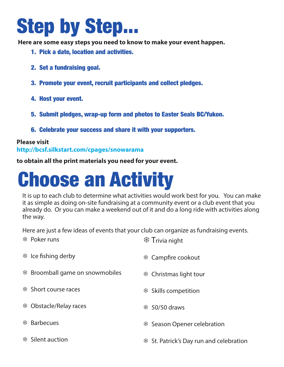### Step by Step...

**Here are some easy steps you need to know to make your event happen.**

- 1. Pick a date, location and activities.
- 2. Set a fundraising goal.
- 3. Promote your event, recruit participants and collect pledges.
- 4. Host your event.
- 5. Submit pledges, wrap-up form and photos to Easter Seals BC/Yukon.
- 6. Celebrate your success and share it with your supporters.

#### **Please visit http://bcsf.silkstart.com/cpages/snowarama**

**to obtain all the print materials you need for your event.**

### Choose an Activity

It is up to each club to determine what activities would work best for you. You can make it as simple as doing on-site fundraising at a community event or a club event that you already do. Or you can make a weekend out of it and do a long ride with activities along the way.

Here are just a few ideas of events that your club can organize as fundraising events.

| <b>SEP Poker runs</b>                           | <b>※ Trivia night</b>                    |
|-------------------------------------------------|------------------------------------------|
| $*$ Ice fishing derby                           | * Campfire cookout                       |
| <b><i>\</i> *</b> Broomball game on snowmobiles | * Christmas light tour                   |
| <b>\# Short course races</b>                    | <b><i>\</i> *</b> Skills competition     |
| <b>※ Obstacle/Relay races</b>                   | <b>\$ 50/50 draws</b>                    |
| <b>※ Barbecues</b>                              | <sup>※</sup> Season Opener celebration   |
| <i></i> <b>\$</b> Silent auction                | \$ St. Patrick's Day run and celebration |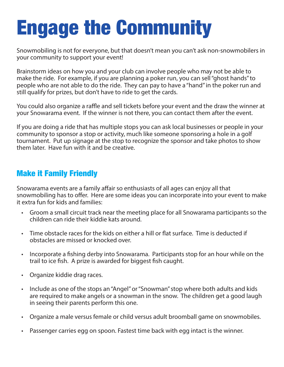### Engage the Community

Snowmobiling is not for everyone, but that doesn't mean you can't ask non-snowmobilers in your community to support your event!

Brainstorm ideas on how you and your club can involve people who may not be able to make the ride. For example, if you are planning a poker run, you can sell "ghost hands" to people who are not able to do the ride. They can pay to have a "hand" in the poker run and still qualify for prizes, but don't have to ride to get the cards.

You could also organize a raffle and sell tickets before your event and the draw the winner at your Snowarama event. If the winner is not there, you can contact them after the event.

If you are doing a ride that has multiple stops you can ask local businesses or people in your community to sponsor a stop or activity, much like someone sponsoring a hole in a golf tournament. Put up signage at the stop to recognize the sponsor and take photos to show them later. Have fun with it and be creative.

#### Make it Family Friendly

Snowarama events are a family affair so enthusiasts of all ages can enjoy all that snowmobiling has to offer. Here are some ideas you can incorporate into your event to make it extra fun for kids and families:

- Groom a small circuit track near the meeting place for all Snowarama participants so the children can ride their kiddie kats around.
- Time obstacle races for the kids on either a hill or flat surface. Time is deducted if obstacles are missed or knocked over.
- Incorporate a fishing derby into Snowarama. Participants stop for an hour while on the trail to ice fish. A prize is awarded for biggest fish caught.
- Organize kiddie drag races.
- Include as one of the stops an "Angel" or "Snowman" stop where both adults and kids are required to make angels or a snowman in the snow. The children get a good laugh in seeing their parents perform this one.
- Organize a male versus female or child versus adult broomball game on snowmobiles.
- Passenger carries egg on spoon. Fastest time back with egg intact is the winner.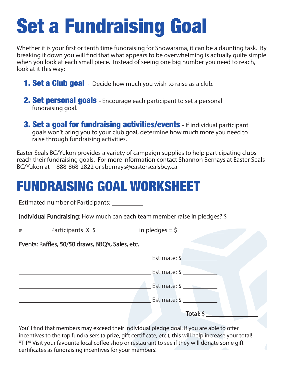### Set a Fundraising Goal

Whether it is your first or tenth time fundraising for Snowarama, it can be a daunting task. By breaking it down you will find that what appears to be overwhelming is actually quite simple when you look at each small piece. Instead of seeing one big number you need to reach, look at it this way:

- **1. Set a Club goal** Decide how much you wish to raise as a club.
- **2. Set personal goals** Encourage each participant to set a personal fundraising goal.
- **3. Set a goal for fundraising activities/events** If individual participant goals won't bring you to your club goal, determine how much more you need to raise through fundraising activities.

Easter Seals BC/Yukon provides a variety of campaign supplies to help participating clubs reach their fundraising goals. For more information contact Shannon Bernays at Easter Seals BC/Yukon at 1-888-868-2822 or sbernays@eastersealsbcy.ca

### FUNDRAISING GOAL WORKSHEET

Estimated number of Participants:

Individual Fundraising: How much can each team member raise in pledges? \$

| # | Participants X |  |  |  |  | in pledges $=$ . |  |  |
|---|----------------|--|--|--|--|------------------|--|--|
|---|----------------|--|--|--|--|------------------|--|--|

#### Events: Raffles, 50/50 draws, BBQ's, Sales, etc.

| Estimate: \$ |  |
|--------------|--|
| Estimate: \$ |  |
| Estimate: \$ |  |
| Total: \$    |  |

You'll find that members may exceed their individual pledge goal. If you are able to offer incentives to the top fundraisers (a prize, gift certificate, etc.), this will help increase your total! \*TIP\* Visit your favourite local coffee shop or restaurant to see if they will donate some gift certificates as fundraising incentives for your members!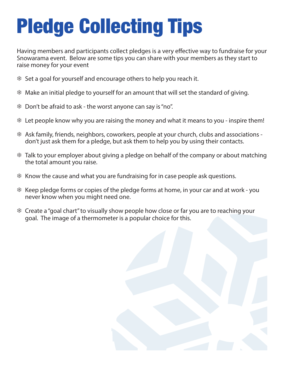## Pledge Collecting Tips

Having members and participants collect pledges is a very effective way to fundraise for your Snowarama event. Below are some tips you can share with your members as they start to raise money for your event

- 7 Set a goal for yourself and encourage others to help you reach it.
- 7 Make an initial pledge to yourself for an amount that will set the standard of giving.
- $*$  Don't be afraid to ask the worst anyone can say is "no".
- 7 Let people know why you are raising the money and what it means to you inspire them!
- 7 Ask family, friends, neighbors, coworkers, people at your church, clubs and associations don't just ask them for a pledge, but ask them to help you by using their contacts.
- 7 Talk to your employer about giving a pledge on behalf of the company or about matching the total amount you raise.
- 7 Know the cause and what you are fundraising for in case people ask questions.
- <sup>#</sup> Keep pledge forms or copies of the pledge forms at home, in your car and at work you never know when you might need one.
- 7 Create a "goal chart" to visually show people how close or far you are to reaching your goal. The image of a thermometer is a popular choice for this.

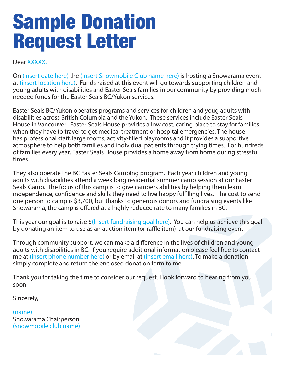### Sample Donation Request Letter

Dear XXXXX.

On (insert date here) the (insert Snowmobile Club name here) is hosting a Snowarama event at (insert location here). Funds raised at this event will go towards supporting children and young adults with disabilities and Easter Seals families in our community by providing much needed funds for the Easter Seals BC/Yukon services.

Easter Seals BC/Yukon operates programs and services for children and youg adults with disabilities across British Columbia and the Yukon. These services include Easter Seals House in Vancouver. Easter Seals House provides a low cost, caring place to stay for families when they have to travel to get medical treatment or hospital emergencies. The house has professional staff, large rooms, activity-filled playrooms and it provides a supportive atmosphere to help both families and individual patients through trying times. For hundreds of families every year, Easter Seals House provides a home away from home during stressful times.

They also operate the BC Easter Seals Camping program. Each year children and young adults with disabilities attend a week long residential summer camp session at our Easter Seals Camp. The focus of this camp is to give campers abilities by helping them learn independence, confidence and skills they need to live happy fulfilling lives. The cost to send one person to camp is \$3,700, but thanks to generous donors and fundraising events like Snowarama, the camp is offered at a highly reduced rate to many families in BC.

This year our goal is to raise \$(Insert fundraising goal here). You can help us achieve this goal by donating an item to use as an auction item (or raffle item) at our fundraising event.

Through community support, we can make a difference in the lives of children and young adults with disabilities in BC! If you require additional information please feel free to contact me at (insert phone number here) or by email at (insert email here). To make a donation simply complete and return the enclosed donation form to me.

Thank you for taking the time to consider our request. I look forward to hearing from you soon.

Sincerely,

(name) Snowarama Chairperson (snowmobile club name)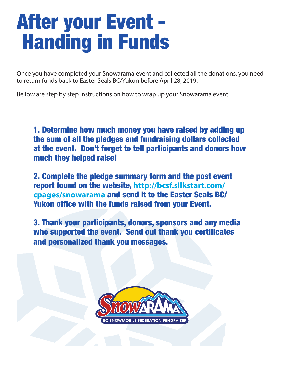### After your Event - Handing in Funds

Once you have completed your Snowarama event and collected all the donations, you need to return funds back to Easter Seals BC/Yukon before April 28, 2019.

Bellow are step by step instructions on how to wrap up your Snowarama event.

1. Determine how much money you have raised by adding up the sum of all the pledges and fundraising dollars collected at the event. Don't forget to tell participants and donors how much they helped raise!

2. Complete the pledge summary form and the post event report found on the website, **http://bcsf.silkstart.com/ cpages/snowarama** and send it to the Easter Seals BC/ Yukon office with the funds raised from your Event.

3. Thank your participants, donors, sponsors and any media who supported the event. Send out thank you certificates and personalized thank you messages.

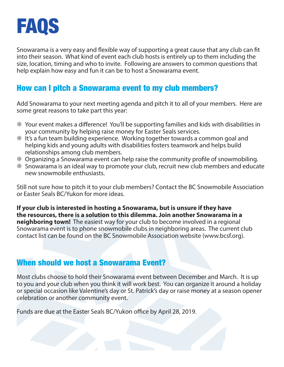

Snowarama is a very easy and flexible way of supporting a great cause that any club can fit into their season. What kind of event each club hosts is entirely up to them including the size, location, timing and who to invite. Following are answers to common questions that help explain how easy and fun it can be to host a Snowarama event.

#### How can I pitch a Snowarama event to my club members?

Add Snowarama to your next meeting agenda and pitch it to all of your members. Here are some great reasons to take part this year:

- 7 Your event makes a difference! You'll be supporting families and kids with disabilities in your community by helping raise money for Easter Seals services.
- 7 It's a fun team building experience. Working together towards a common goal and helping kids and young adults with disabilities fosters teamwork and helps build relationships among club members.
- 7 Organizing a Snowarama event can help raise the community profile of snowmobiling.
- 7 Snowarama is an ideal way to promote your club, recruit new club members and educate new snowmobile enthusiasts.

Still not sure how to pitch it to your club members? Contact the BC Snowmobile Association or Easter Seals BC/Yukon for more ideas.

**If your club is interested in hosting a Snowarama, but is unsure if they have the resources, there is a solution to this dilemma. Join another Snowarama in a neighboring town!** The easiest way for your club to become involved in a regional Snowarama event is to phone snowmobile clubs in neighboring areas. The current club contact list can be found on the BC Snowmobile Association website (www.bcsf.org).

#### When should we host a Snowarama Event?

Most clubs choose to hold their Snowarama event between December and March. It is up to you and your club when you think it will work best. You can organize it around a holiday or special occasion like Valentine's day or St. Patrick's day or raise money at a season opener celebration or another community event.

Funds are due at the Easter Seals BC/Yukon office by April 28, 2019.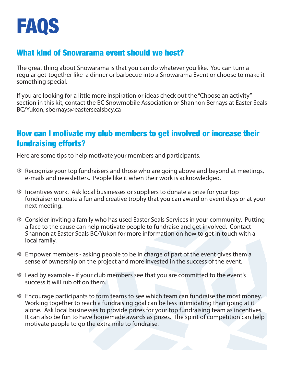

#### What kind of Snowarama event should we host?

The great thing about Snowarama is that you can do whatever you like. You can turn a regular get-together like a dinner or barbecue into a Snowarama Event or choose to make it something special.

If you are looking for a little more inspiration or ideas check out the "Choose an activity" section in this kit, contact the BC Snowmobile Association or Shannon Bernays at Easter Seals BC/Yukon, sbernays@eastersealsbcy.ca

#### How can I motivate my club members to get involved or increase their fundraising efforts?

Here are some tips to help motivate your members and participants.

- 7 Recognize your top fundraisers and those who are going above and beyond at meetings, e-mails and newsletters. People like it when their work is acknowledged.
- 7 Incentives work. Ask local businesses or suppliers to donate a prize for your top fundraiser or create a fun and creative trophy that you can award on event days or at your next meeting.
- 7 Consider inviting a family who has used Easter Seals Services in your community. Putting a face to the cause can help motivate people to fundraise and get involved. Contact Shannon at Easter Seals BC/Yukon for more information on how to get in touch with a local family.
- $*$  Empower members asking people to be in charge of part of the event gives them a sense of ownership on the project and more invested in the success of the event.
- 7 Lead by example if your club members see that you are committed to the event's success it will rub off on them.
- $*$  Encourage participants to form teams to see which team can fundraise the most money. Working together to reach a fundraising goal can be less intimidating than going at it alone. Ask local businesses to provide prizes for your top fundraising team as incentives. It can also be fun to have homemade awards as prizes. The spirit of competition can help motivate people to go the extra mile to fundraise.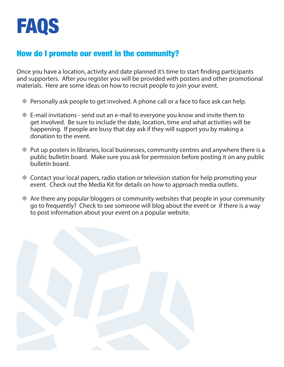

#### How do I promote our event in the community?

Once you have a location, activity and date planned it's time to start finding participants and supporters. After you register you will be provided with posters and other promotional materials. Here are some ideas on how to recruit people to join your event.

- 7 Personally ask people to get involved. A phone call or a face to face ask can help.
- 7 E-mail invitations send out an e-mail to everyone you know and invite them to get involved. Be sure to include the date, location, time and what activities will be happening. If people are busy that day ask if they will support you by making a donation to the event.
- 7 Put up posters in libraries, local businesses, community centres and anywhere there is a public bulletin board. Make sure you ask for permission before posting it on any public bulletin board.
- 7 Contact your local papers, radio station or television station for help promoting your event. Check out the Media Kit for details on how to approach media outlets.
- 7 Are there any popular bloggers or community websites that people in your community go to frequently? Check to see someone will blog about the event or if there is a way to post information about your event on a popular website.